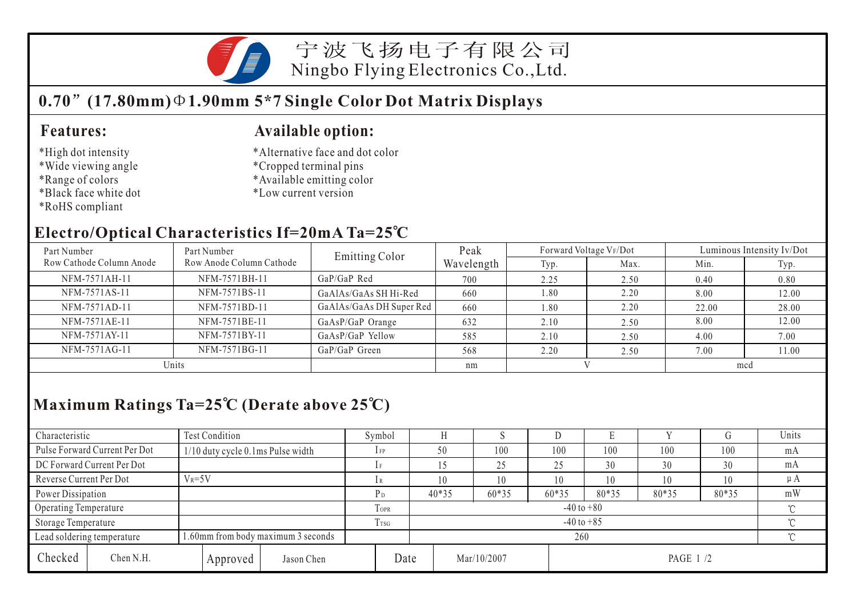

宁波飞扬电子有限公司 Ningbo Flying Electronics Co.,Ltd.

# **0.70 (17.80mm) 1.90mm 5\*7 Single Color Dot Matrix Displays**

#### **Features:**

- \*High dot intensity
- \*Wide viewing angle
- \*Range of colors
- \*Black face white dot
- \*RoHS compliant

#### **Available option:**

- \*Alternative face and dot color
- \*Cropped terminal pins
- \*Available emitting color
- \*Low current version

#### **Electro/Optical Characteristics If=20mA Ta=25 C**

| Part Number              | Part Number              | <b>Emitting Color</b>    | Peak       | Forward Voltage VF/Dot |      | Luminous Intensity Iv/Dot |       |  |
|--------------------------|--------------------------|--------------------------|------------|------------------------|------|---------------------------|-------|--|
| Row Cathode Column Anode | Row Anode Column Cathode |                          | Wavelength | Typ.                   | Max. | Min.                      | Typ.  |  |
| NFM-7571AH-11            | NFM-7571BH-11            | $GaP/GaP$ Red            | 700        | 2.25                   | 2.50 | 0.40                      | 0.80  |  |
| NFM-7571AS-11            | NFM-7571BS-11            | GaAlAs/GaAs SH Hi-Red    | 660        | 1.80                   | 2.20 | 8.00                      | 12.00 |  |
| NFM-7571AD-11            | NFM-7571BD-11            | GaAlAs/GaAs DH Super Red | 660        | 1.80                   | 2.20 | 22.00                     | 28.00 |  |
| NFM-7571AE-11            | NFM-7571BE-11            | GaAsP/GaP Orange         | 632        | 2.10                   | 2.50 | 8.00                      | 12.00 |  |
| NFM-7571AY-11            | NFM-7571BY-11            | GaAsP/GaP Yellow         | 585        | 2.10                   | 2.50 | 4.00                      | 7.00  |  |
| NFM-7571AG-11            | NFM-7571BG-11            | GaP/GaP Green            | 568        | 2.20                   | 2.50 | 7.00                      | 11.00 |  |
| Units                    |                          |                          | nm         |                        |      | mcd                       |       |  |

## **Maximum Ratings Ta=25 C (Derate above 25 C)**

| Characteristic          |                               | <b>Test Condition</b>                |          |                  |                          | Symbol  |                 |             |       | IJ    |           |       |     | Units   |  |
|-------------------------|-------------------------------|--------------------------------------|----------|------------------|--------------------------|---------|-----------------|-------------|-------|-------|-----------|-------|-----|---------|--|
|                         | Pulse Forward Current Per Dot | $1/10$ duty cycle 0.1 ms Pulse width |          |                  |                          | $1$ FP  | 50              |             | 100   | 100   | 100       | 100   | 100 | mA      |  |
|                         | DC Forward Current Per Dot    |                                      |          |                  |                          |         |                 |             | 25    | 25    | 30        | 30    | 30  | mA      |  |
| Reverse Current Per Dot |                               | $V_R = 5V$                           |          |                  |                          |         | 10              |             | 10    | 10    | 10        | 10    | 10  | $\mu A$ |  |
| Power Dissipation       |                               |                                      |          |                  | P <sub>D</sub>           | $40*35$ |                 | 60*35       | 60*35 | 80*35 | 80*35     | 80*35 | mW  |         |  |
| Operating Temperature   |                               |                                      |          | TOPR             | $-40$ to $+80$<br>$\sim$ |         |                 |             |       |       |           |       |     |         |  |
| Storage Temperature     |                               |                                      |          | T <sub>TSG</sub> | $-40$ to $+85$<br>$\sim$ |         |                 |             |       |       |           |       |     |         |  |
|                         | Lead soldering temperature    | 1.60mm from body maximum 3 seconds   |          |                  |                          |         | $\gamma$<br>260 |             |       |       |           |       |     |         |  |
| Checked                 | Chen N.H.                     |                                      | Approved | Jason Chen       | Date                     |         |                 | Mar/10/2007 |       |       | PAGE 1 /2 |       |     |         |  |